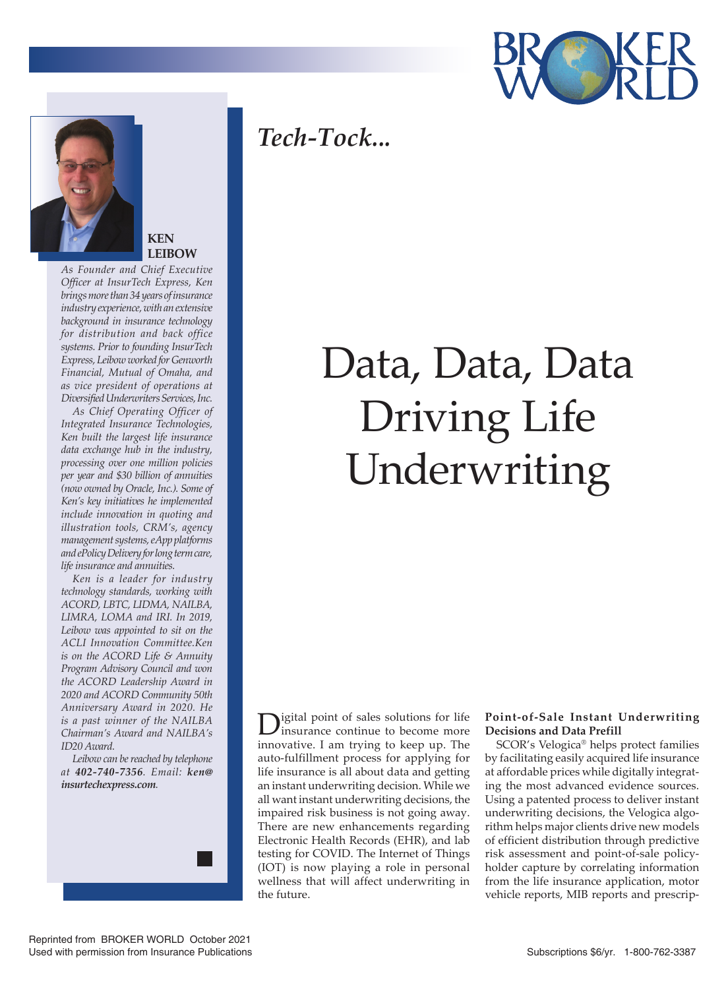

## *Tech-Tock...*



### **KEN LEIBOW**

*As Founder and Chief Executive Officer at InsurTech Express, Ken brings more than 34 years of insurance industry experience, with an extensive background in insurance technology for distribution and back office systems. Prior to founding InsurTech Express, Leibow worked for Genworth Financial, Mutual of Omaha, and as vice president of operations at Diversified Underwriters Services, Inc.*

*As Chief Operating Officer of Integrated Insurance Technologies, Ken built the largest life insurance data exchange hub in the industry, processing over one million policies per year and \$30 billion of annuities (now owned by Oracle, Inc.). Some of Ken's key initiatives he implemented include innovation in quoting and illustration tools, CRM's, agency management systems, eApp platforms and ePolicy Delivery for long term care, life insurance and annuities.*

*Ken is a leader for industry technology standards, working with ACORD, LBTC, LIDMA, NAILBA, LIMRA, LOMA and IRI. In 2019, Leibow was appointed to sit on the ACLI Innovation Committee.Ken is on the ACORD Life & Annuity Program Advisory Council and won the ACORD Leadership Award in 2020 and ACORD Community 50th Anniversary Award in 2020. He is a past winner of the NAILBA Chairman's Award and NAILBA's ID20 Award.*

*Leibow can be reached by telephone at 402-740-7356. Email: ken@ insurtechexpress.com.*



# Data, Data, Data Driving Life Underwriting

igital point of sales solutions for life insurance continue to become more innovative. I am trying to keep up. The auto-fulfillment process for applying for life insurance is all about data and getting an instant underwriting decision. While we all want instant underwriting decisions, the impaired risk business is not going away. There are new enhancements regarding Electronic Health Records (EHR), and lab testing for COVID. The Internet of Things (IOT) is now playing a role in personal wellness that will affect underwriting in the future.

### **Point-of-Sale Instant Underwriting Decisions and Data Prefill**

SCOR's Velogica® helps protect families by facilitating easily acquired life insurance at affordable prices while digitally integrating the most advanced evidence sources. Using a patented process to deliver instant underwriting decisions, the Velogica algorithm helps major clients drive new models of efficient distribution through predictive risk assessment and point-of-sale policyholder capture by correlating information from the life insurance application, motor vehicle reports, MIB reports and prescrip-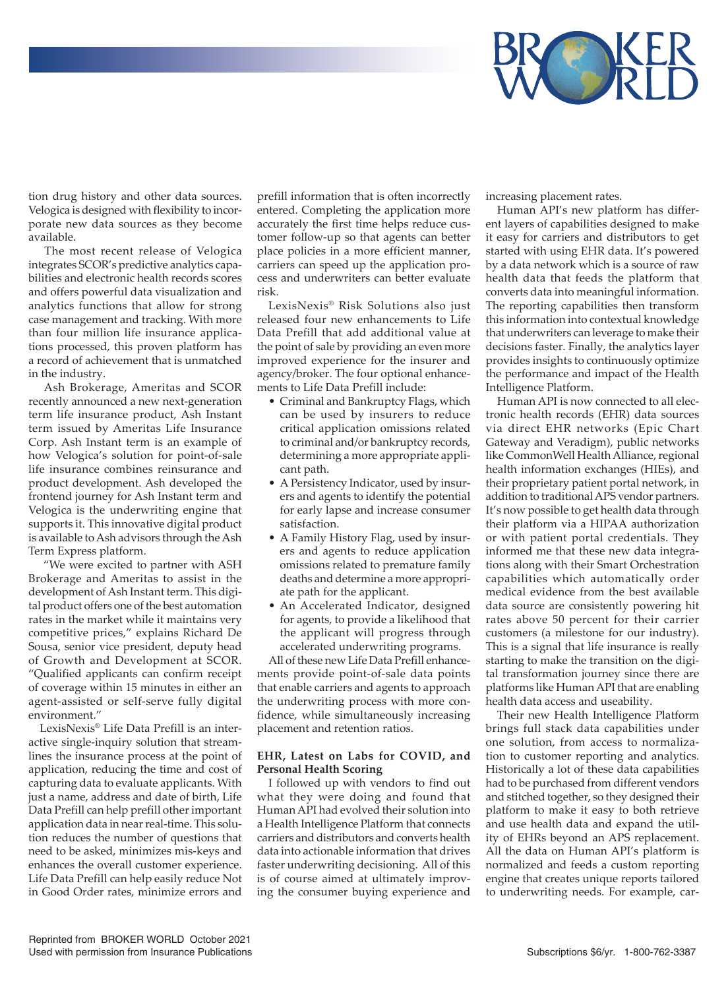

tion drug history and other data sources. Velogica is designed with flexibility to incorporate new data sources as they become available.

 The most recent release of Velogica integrates SCOR's predictive analytics capabilities and electronic health records scores and offers powerful data visualization and analytics functions that allow for strong case management and tracking. With more than four million life insurance applications processed, this proven platform has a record of achievement that is unmatched in the industry.

 Ash Brokerage, Ameritas and SCOR recently announced a new next-generation term life insurance product, Ash Instant term issued by Ameritas Life Insurance Corp. Ash Instant term is an example of how Velogica's solution for point-of-sale life insurance combines reinsurance and product development. Ash developed the frontend journey for Ash Instant term and Velogica is the underwriting engine that supports it. This innovative digital product is available to Ash advisors through the Ash Term Express platform.

 "We were excited to partner with ASH Brokerage and Ameritas to assist in the development of Ash Instant term. This digital product offers one of the best automation rates in the market while it maintains very competitive prices," explains Richard De Sousa, senior vice president, deputy head of Growth and Development at SCOR. "Qualified applicants can confirm receipt of coverage within 15 minutes in either an agent-assisted or self-serve fully digital environment."

LexisNexis® Life Data Prefill is an interactive single-inquiry solution that streamlines the insurance process at the point of application, reducing the time and cost of capturing data to evaluate applicants. With just a name, address and date of birth, Life Data Prefill can help prefill other important application data in near real-time. This solution reduces the number of questions that need to be asked, minimizes mis-keys and enhances the overall customer experience. Life Data Prefill can help easily reduce Not in Good Order rates, minimize errors and

prefill information that is often incorrectly entered. Completing the application more accurately the first time helps reduce customer follow-up so that agents can better place policies in a more efficient manner, carriers can speed up the application process and underwriters can better evaluate risk.

LexisNexis® Risk Solutions also just released four new enhancements to Life Data Prefill that add additional value at the point of sale by providing an even more improved experience for the insurer and agency/broker. The four optional enhancements to Life Data Prefill include:

- Criminal and Bankruptcy Flags, which can be used by insurers to reduce critical application omissions related to criminal and/or bankruptcy records, determining a more appropriate applicant path.
- A Persistency Indicator, used by insurers and agents to identify the potential for early lapse and increase consumer satisfaction.
- A Family History Flag, used by insurers and agents to reduce application omissions related to premature family deaths and determine a more appropriate path for the applicant.
- An Accelerated Indicator, designed for agents, to provide a likelihood that the applicant will progress through accelerated underwriting programs.

All of these new Life Data Prefill enhancements provide point-of-sale data points that enable carriers and agents to approach the underwriting process with more confidence, while simultaneously increasing placement and retention ratios.

#### **EHR, Latest on Labs for COVID, and Personal Health Scoring**

I followed up with vendors to find out what they were doing and found that Human API had evolved their solution into a Health Intelligence Platform that connects carriers and distributors and converts health data into actionable information that drives faster underwriting decisioning. All of this is of course aimed at ultimately improving the consumer buying experience and

increasing placement rates.

Human API's new platform has different layers of capabilities designed to make it easy for carriers and distributors to get started with using EHR data. It's powered by a data network which is a source of raw health data that feeds the platform that converts data into meaningful information. The reporting capabilities then transform this information into contextual knowledge that underwriters can leverage to make their decisions faster. Finally, the analytics layer provides insights to continuously optimize the performance and impact of the Health Intelligence Platform.

Human API is now connected to all electronic health records (EHR) data sources via direct EHR networks (Epic Chart Gateway and Veradigm), public networks like CommonWell Health Alliance, regional health information exchanges (HIEs), and their proprietary patient portal network, in addition to traditional APS vendor partners. It's now possible to get health data through their platform via a HIPAA authorization or with patient portal credentials. They informed me that these new data integrations along with their Smart Orchestration capabilities which automatically order medical evidence from the best available data source are consistently powering hit rates above 50 percent for their carrier customers (a milestone for our industry). This is a signal that life insurance is really starting to make the transition on the digital transformation journey since there are platforms like Human API that are enabling health data access and useability.

Their new Health Intelligence Platform brings full stack data capabilities under one solution, from access to normalization to customer reporting and analytics. Historically a lot of these data capabilities had to be purchased from different vendors and stitched together, so they designed their platform to make it easy to both retrieve and use health data and expand the utility of EHRs beyond an APS replacement. All the data on Human API's platform is normalized and feeds a custom reporting engine that creates unique reports tailored to underwriting needs. For example, car-